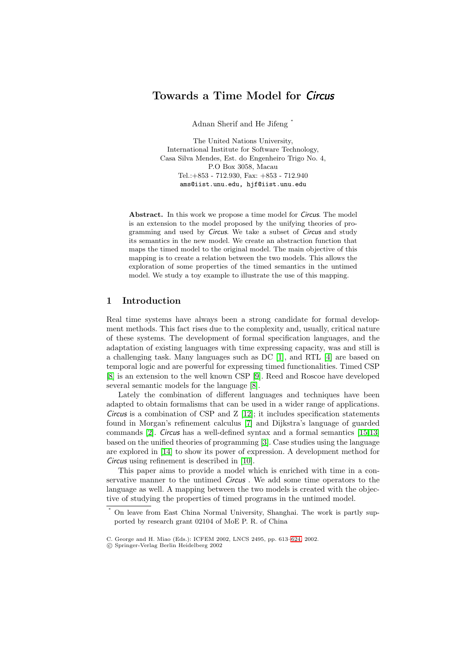## **Towards a Time Model for** Circus

Adnan Sherif and He Jifeng <sup>∗</sup>

The United Nations University, International Institute for Software Technology, Casa Silva Mendes, Est. do Engenheiro Trigo No. 4, P.O Box 3058, Macau Tel.:+853 - 712.930, Fax: +853 - 712.940 ams@iist.unu.edu, hjf@iist.unu.edu

Abstract. In this work we propose a time model for *Circus*. The model is an extension to the model proposed by the unifying theories of programming and used by Circus. We take a subset of Circus and study its semantics in the new model. We create an abstraction function that maps the timed model to the original model. The main objective of this mapping is to create a relation between the two models. This allows the exploration of some properties of the timed semantics in the untimed model. We study a toy example to illustrate the use of this mapping.

### **1 Introduction**

Real time systems have always been a strong candidate for formal development methods. This fact rises due to the complexity and, usually, critical nature of these systems. The development of formal specification languages, and the adaptation of existing languages with time expressing capacity, was and still is a challenging task. Many languages such as DC [\[1\]](#page-11-0), and RTL [\[4\]](#page-11-0) are based on temporal logic and are powerful for expressing timed functionalities. Timed CSP [\[8\]](#page-11-0) is an extension to the well known CSP [\[9\]](#page-11-0). Reed and Roscoe have developed several semantic models for the language [\[8\]](#page-11-0).

Lately the combination of different languages and techniques have been adapted to obtain formalisms that can be used in a wider range of applications. Circus is a combination of CSP and  $Z$  [\[12\]](#page-11-0); it includes specification statements found in Morgan's refinement calculus [\[7\]](#page-11-0) and Dijkstra's language of guarded commands [\[2\]](#page-11-0). Circus has a well-defined syntax and a formal semantics [\[15,13\]](#page-11-0) based on the unified theories of programming [\[3\]](#page-11-0). Case studies using the language are explored in [\[14\]](#page-11-0) to show its power of expression. A development method for Circus using refinement is described in [\[10\]](#page-11-0).

This paper aims to provide a model which is enriched with time in a conservative manner to the untimed Circus . We add some time operators to the language as well. A mapping between the two models is created with the objective of studying the properties of timed programs in the untimed model.

<sup>∗</sup> On leave from East China Normal University, Shanghai. The work is partly supported by research grant 02104 of MoE P. R. of China

C. George and H. Miao (Eds.): ICFEM 2002, LNCS 2495, pp. 613[–624,](#page-11-0) 2002.

c Springer-Verlag Berlin Heidelberg 2002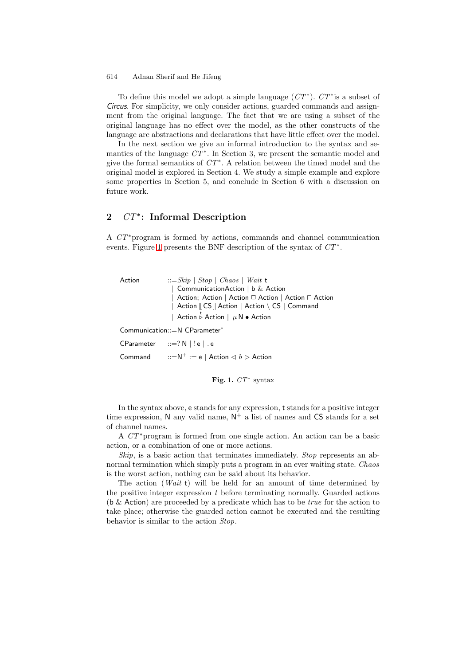To define this model we adopt a simple language  $(CT^*)$ .  $CT^*$  is a subset of Circus. For simplicity, we only consider actions, guarded commands and assignment from the original language. The fact that we are using a subset of the original language has no effect over the model, as the other constructs of the language are abstractions and declarations that have little effect over the model.

In the next section we give an informal introduction to the syntax and semantics of the language CT∗. In Section 3, we present the semantic model and give the formal semantics of CT∗. A relation between the timed model and the original model is explored in Section 4. We study a simple example and explore some properties in Section 5, and conclude in Section 6 with a discussion on future work.

## **2** CT*∗***: Informal Description**

A CT∗program is formed by actions, commands and channel communication events. Figure 1 presents the BNF description of the syntax of CT∗.

| Action | $::= \mathit{skip} \mid \mathit{Stop} \mid \mathit{Chaos} \mid \mathit{Wait}$            |
|--------|------------------------------------------------------------------------------------------|
|        | Communication Action   b $\&$ Action                                                     |
|        | Action; Action   Action □ Action   Action □ Action                                       |
|        | Action    CS    Action   Action \ CS   Command                                           |
|        | Action $\stackrel{\scriptstyle\smile}{\triangleright}$ Action   $\mu$ N $\bullet$ Action |
|        | $Commutation: -N$ $CDor matter*$                                                         |

Communication::=N CParameter<sup>∗</sup>

CParameter  $::=? N \mid !e \mid .e$ 

Command  $::=N^+ := e \mid \text{Action} \leq b \geq \text{Action}$ 

**Fig. 1.** CT<sup>∗</sup> syntax

In the syntax above, e stands for any expression, t stands for a positive integer time expression, N any valid name,  $N^+$  a list of names and CS stands for a set of channel names.

A CT∗program is formed from one single action. An action can be a basic action, or a combination of one or more actions.

Skip, is a basic action that terminates immediately. Stop represents an abnormal termination which simply puts a program in an ever waiting state. Chaos is the worst action, nothing can be said about its behavior.

The action (*Wait* t) will be held for an amount of time determined by the positive integer expression  $t$  before terminating normally. Guarded actions (b & Action) are proceeded by a predicate which has to be *true* for the action to take place; otherwise the guarded action cannot be executed and the resulting behavior is similar to the action *Stop*.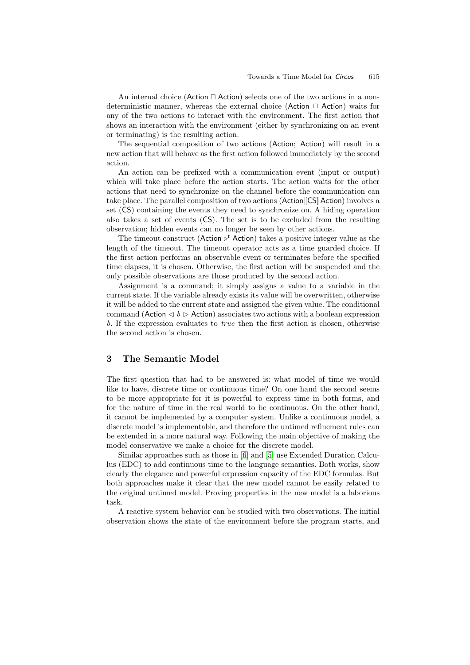An internal choice (Action  $\sqcap$  Action) selects one of the two actions in a nondeterministic manner, whereas the external choice (Action  $\Box$  Action) waits for any of the two actions to interact with the environment. The first action that shows an interaction with the environment (either by synchronizing on an event or terminating) is the resulting action.

The sequential composition of two actions (Action; Action) will result in a new action that will behave as the first action followed immediately by the second action.

An action can be prefixed with a communication event (input or output) which will take place before the action starts. The action waits for the other actions that need to synchronize on the channel before the communication can take place. The parallel composition of two actions (Action|[CS]|Action) involves a set (CS) containing the events they need to synchronize on. A hiding operation also takes a set of events (CS). The set is to be excluded from the resulting observation; hidden events can no longer be seen by other actions.

The timeout construct (Action  $\rho^t$  Action) takes a positive integer value as the length of the timeout. The timeout operator acts as a time guarded choice. If the first action performs an observable event or terminates before the specified time elapses, it is chosen. Otherwise, the first action will be suspended and the only possible observations are those produced by the second action.

Assignment is a command; it simply assigns a value to a variable in the current state. If the variable already exists its value will be overwritten, otherwise it will be added to the current state and assigned the given value. The conditional command (Action  $\triangleleft b \triangleright$  Action) associates two actions with a boolean expression b. If the expression evaluates to true then the first action is chosen, otherwise the second action is chosen.

## **3 The Semantic Model**

The first question that had to be answered is: what model of time we would like to have, discrete time or continuous time? On one hand the second seems to be more appropriate for it is powerful to express time in both forms, and for the nature of time in the real world to be continuous. On the other hand, it cannot be implemented by a computer system. Unlike a continuous model, a discrete model is implementable, and therefore the untimed refinement rules can be extended in a more natural way. Following the main objective of making the model conservative we make a choice for the discrete model.

Similar approaches such as those in [\[6\]](#page-11-0) and [\[5\]](#page-11-0) use Extended Duration Calculus (EDC) to add continuous time to the language semantics. Both works, show clearly the elegance and powerful expression capacity of the EDC formulas. But both approaches make it clear that the new model cannot be easily related to the original untimed model. Proving properties in the new model is a laborious task.

A reactive system behavior can be studied with two observations. The initial observation shows the state of the environment before the program starts, and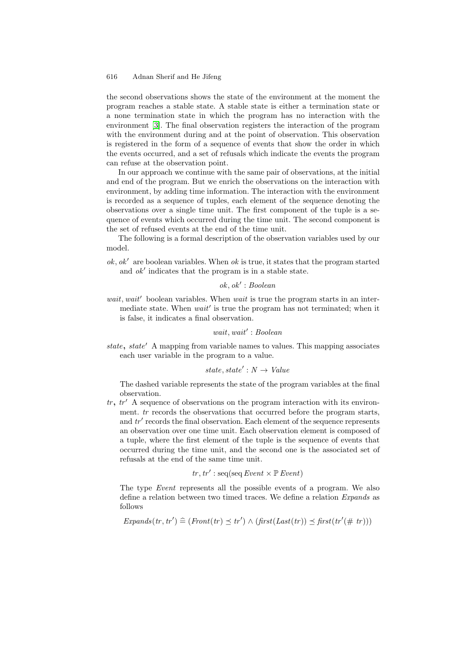the second observations shows the state of the environment at the moment the program reaches a stable state. A stable state is either a termination state or a none termination state in which the program has no interaction with the environment [\[3\]](#page-11-0). The final observation registers the interaction of the program with the environment during and at the point of observation. This observation is registered in the form of a sequence of events that show the order in which the events occurred, and a set of refusals which indicate the events the program can refuse at the observation point.

In our approach we continue with the same pair of observations, at the initial and end of the program. But we enrich the observations on the interaction with environment, by adding time information. The interaction with the environment is recorded as a sequence of tuples, each element of the sequence denoting the observations over a single time unit. The first component of the tuple is a sequence of events which occurred during the time unit. The second component is the set of refused events at the end of the time unit.

The following is a formal description of the observation variables used by our model.

 $ok, ok'$  are boolean variables. When  $ok$  is true, it states that the program started and  $ok'$  indicates that the program is in a stable state.

$$
ok, ok':\textit{Boolean}
$$

wait, wait boolean variables. When wait is true the program starts in an intermediate state. When  $wait'$  is true the program has not terminated; when it is false, it indicates a final observation.

$$
wait, wait': Boolean
$$

state, state<sup>'</sup> A mapping from variable names to values. This mapping associates each user variable in the program to a value.

$$
state, state': N \rightarrow Value
$$

The dashed variable represents the state of the program variables at the final observation.

tr, tr' A sequence of observations on the program interaction with its environment. tr records the observations that occurred before the program starts, and  $tr'$  records the final observation. Each element of the sequence represents an observation over one time unit. Each observation element is composed of a tuple, where the first element of the tuple is the sequence of events that occurred during the time unit, and the second one is the associated set of refusals at the end of the same time unit.

$$
tr, tr' : seq(seq Event \times P Event)
$$

The type Event represents all the possible events of a program. We also define a relation between two timed traces. We define a relation Expands as follows

$$
Expands(tr, tr') \cong (Front(tr) \preceq tr') \land (first (Last(tr)) \preceq first (tr'(\# tr)))
$$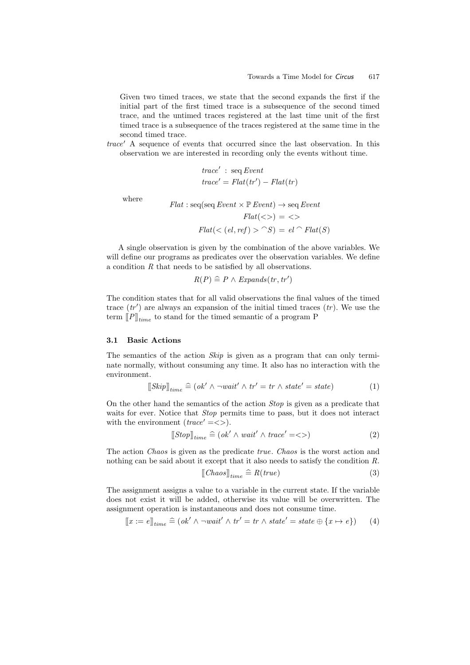Given two timed traces, we state that the second expands the first if the initial part of the first timed trace is a subsequence of the second timed trace, and the untimed traces registered at the last time unit of the first timed trace is a subsequence of the traces registered at the same time in the second timed trace.

trace' A sequence of events that occurred since the last observation. In this observation we are interested in recording only the events without time.

$$
trace' : seq Event
$$
  

$$
trace' = Flat(tr') - Flat(tr)
$$

where

 $Flat: \text{seq}(\text{seq} \text{Event} \times \mathbb{P} \text{Event}) \rightarrow \text{seq} \text{Event}$  $Flat(<>) =$  $Flat(<$   $(el, ref) > \bigcirc S) = el \bigcirc Flat(S)$ 

A single observation is given by the combination of the above variables. We will define our programs as predicates over the observation variables. We define a condition R that needs to be satisfied by all observations.

$$
R(P) \triangleq P \wedge Expands(tr, tr')
$$

The condition states that for all valid observations the final values of the timed trace  $(tr')$  are always an expansion of the initial timed traces  $(tr)$ . We use the term  $[$ [P] $]$ <sub>time</sub> to stand for the timed semantic of a program P

#### **3.1 Basic Actions**

The semantics of the action *Skip* is given as a program that can only terminate normally, without consuming any time. It also has no interaction with the environment.

$$
[[\mathit{Skip}]]_{time} \widehat{=} (ok' \land \neg wait' \land tr' = tr \land state' = state)
$$
\n<sup>(1)</sup>

On the other hand the semantics of the action Stop is given as a predicate that waits for ever. Notice that *Stop* permits time to pass, but it does not interact with the environment ( $trace' = \langle \rangle$ ).

$$
[[Stop]]_{time} \hat{=} (ok' \land wait' \land trace' = \langle >)
$$
\n<sup>(2)</sup>

The action Chaos is given as the predicate true. Chaos is the worst action and nothing can be said about it except that it also needs to satisfy the condition R.

$$
\llbracket \text{Chaos} \rrbracket_{time} \hat{=} R(\text{true}) \tag{3}
$$

The assignment assigns a value to a variable in the current state. If the variable does not exist it will be added, otherwise its value will be overwritten. The assignment operation is instantaneous and does not consume time.

$$
[x := e]_{time} \widehat{=} (ok' \land \neg wait' \land tr' = tr \land state' = state \oplus \{x \mapsto e\}) \qquad (4)
$$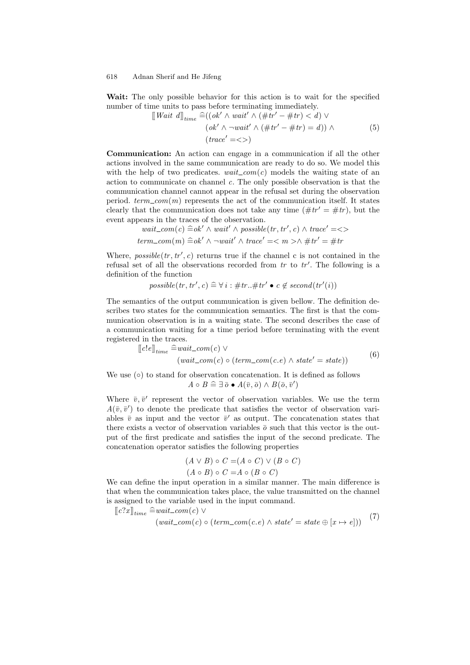**Wait:** The only possible behavior for this action is to wait for the specified number of time units to pass before terminating immediately.

$$
\llbracket Wait \ d \rrbracket_{time} \widehat{=} ((ok' \land wait' \land (\#tr' - \#tr) < d) \lor (ok' \land \neg wait' \land (\#tr' - \#tr) = d)) \land (trace' = <>)
$$
\n
$$
(68 \land \neg wait' \land (\#tr' - \#tr) = d)) \land (5)
$$

**Communication:** An action can engage in a communication if all the other actions involved in the same communication are ready to do so. We model this with the help of two predicates.  $wait\_com(c)$  models the waiting state of an action to communicate on channel c. The only possible observation is that the communication channel cannot appear in the refusal set during the observation period.  $term\_com(m)$  represents the act of the communication itself. It states clearly that the communication does not take any time  $(\# tr' = \# tr)$ , but the event appears in the traces of the observation.

$$
wait\_com(c) \cong ok' \land wait' \land possible(tr, tr', c) \land trace' = \langle>
$$

$$
term\_com(m) \cong ok' \land \neg wait' \land trace' = \langle m \rangle \land \#tr' = \#tr
$$

Where,  $possible(tr, tr', c)$  returns true if the channel c is not contained in the refusal set of all the observations recorded from  $tr$  to  $tr'$ . The following is a definition of the function

$$
possible(tr, tr', c) \cong \forall i : #tr. #tr' \bullet c \notin second(tr'(i))
$$

The semantics of the output communication is given bellow. The definition describes two states for the communication semantics. The first is that the communication observation is in a waiting state. The second describes the case of a communication waiting for a time period before terminating with the event registered in the traces.

$$
\begin{aligned} [c!e]]_{time} \cong & wait\_com(c) \vee \\ & (wait\_com(c) \circ (term\_com(c.e) \wedge state' = state)) \end{aligned} \tag{6}
$$

We use  $(\circ)$  to stand for observation concatenation. It is defined as follows <sup>A</sup> ◦ <sup>B</sup> <sup>=</sup> <sup>∃</sup> <sup>o</sup>¯ • <sup>A</sup>(¯v, <sup>o</sup>¯) <sup>∧</sup> <sup>B</sup>(¯o, <sup>v</sup>¯ )

Where  $\bar{v}, \bar{v}'$  represent the vector of observation variables. We use the term  $A(\bar{v}, \bar{v}')$  to denote the predicate that satisfies the vector of observation variables  $\bar{v}$  as input and the vector  $\bar{v}'$  as output. The concatenation states that there exists a vector of observation variables  $\bar{\rho}$  such that this vector is the output of the first predicate and satisfies the input of the second predicate. The concatenation operator satisfies the following properties

$$
(A \lor B) \circ C = (A \circ C) \lor (B \circ C)
$$
  

$$
(A \circ B) \circ C = A \circ (B \circ C)
$$

We can define the input operation in a similar manner. The main difference is that when the communication takes place, the value transmitted on the channel is assigned to the variable used in the input command.

$$
[[c?x]]_{time} \hat{=} wait\_com(c) \vee
$$
  
(wait\\_com(c) \circ (term\\_com(c.e) \wedge state' = state \oplus [x \mapsto e])) (7)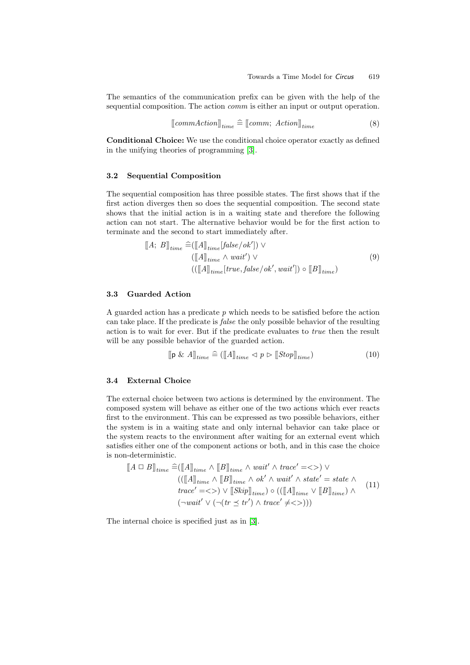The semantics of the communication prefix can be given with the help of the sequential composition. The action *comm* is either an input or output operation.

$$
\left[\text{commAction}\right]_{time} \hat{=} \left[\text{comm}; \text{Action}\right]_{time} \tag{8}
$$

**Conditional Choice:** We use the conditional choice operator exactly as defined in the unifying theories of programming [\[3\]](#page-11-0).

#### **3.2 Sequential Composition**

The sequential composition has three possible states. The first shows that if the first action diverges then so does the sequential composition. The second state shows that the initial action is in a waiting state and therefore the following action can not start. The alternative behavior would be for the first action to terminate and the second to start immediately after.

$$
\begin{aligned} \llbracket A; \ B \rrbracket_{time} \cong & (\llbracket A \rrbracket_{time} [false/ok']) \vee \\ & (\llbracket A \rrbracket_{time} \wedge wait') \vee \\ & ((\llbracket A \rrbracket_{time} [true, false/ok', wait']) \circ \llbracket B \rrbracket_{time}) \end{aligned} \tag{9}
$$

#### **3.3 Guarded Action**

A guarded action has a predicate  $p$  which needs to be satisfied before the action can take place. If the predicate is false the only possible behavior of the resulting action is to wait for ever. But if the predicate evaluates to true then the result will be any possible behavior of the guarded action.

$$
\llbracket \mathbf{p} \& A \rrbracket_{time} \cong (\llbracket A \rrbracket_{time} \lhd p \rhd \llbracket Stop \rrbracket_{time}) \tag{10}
$$

#### **3.4 External Choice**

The external choice between two actions is determined by the environment. The composed system will behave as either one of the two actions which ever reacts first to the environment. This can be expressed as two possible behaviors, either the system is in a waiting state and only internal behavior can take place or the system reacts to the environment after waiting for an external event which satisfies either one of the component actions or both, and in this case the choice is non-deterministic.

$$
[\![A \sqcup B]\!]_{time} \cong ([\![A]\!]_{time} \wedge [\![B]\!]_{time} \wedge wait' \wedge trace' = \langle > \rangle \vee
$$
  
\n
$$
(([\![A]\!]_{time} \wedge [\![B]\!]_{time} \wedge ok' \wedge wait' \wedge state' = state \wedge
$$
  
\n
$$
trace' = \langle > \rangle \vee [\![Skip]\!]_{time}) \circ (([\![A]\!]_{time} \vee [\![B]\!]_{time}) \wedge
$$
  
\n
$$
(\neg wait' \vee (\neg(tr \preceq tr') \wedge trace' \neq \langle > \rangle)))
$$
\n(11)

The internal choice is specified just as in [\[3\]](#page-11-0).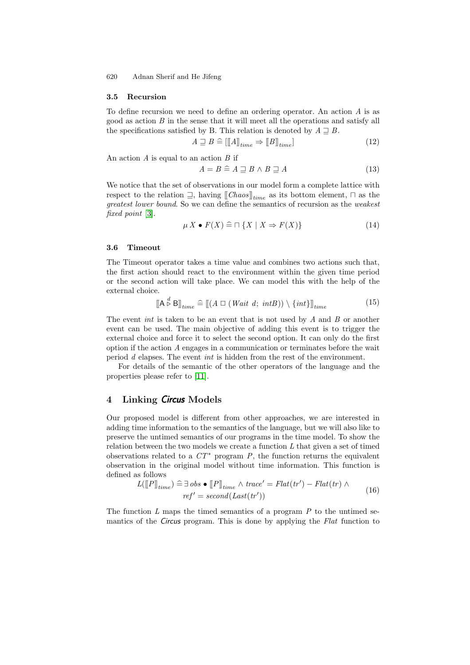### **3.5Recursion**

To define recursion we need to define an ordering operator. An action A is as good as action B in the sense that it will meet all the operations and satisfy all the specifications satisfied by B. This relation is denoted by  $A \supseteq B$ .

$$
A \supseteq B \widehat{=} [[A]]_{time} \Rightarrow [[B]]_{time}] \tag{12}
$$

An action  $A$  is equal to an action  $B$  if

$$
A = B \xrightarrow{\simeq} A \sqsupseteq B \wedge B \sqsupseteq A \tag{13}
$$

We notice that the set of observations in our model form a complete lattice with respect to the relation  $\exists$ , having  $[[Chaos]]_{time}$  as its bottom element,  $\sqcap$  as the greatest lower bound. So we can define the semantics of recursion as the weakest fixed point [\[3\]](#page-11-0).

$$
\mu X \bullet F(X) \cong \sqcap \{ X \mid X \Rightarrow F(X) \} \tag{14}
$$

#### **3.6 Timeout**

The Timeout operator takes a time value and combines two actions such that, the first action should react to the environment within the given time period or the second action will take place. We can model this with the help of the external choice.

$$
\llbracket \mathsf{A} \stackrel{d}{\triangleright} \mathsf{B} \rrbracket_{time} \widehat{=} \llbracket (A \sqcup (Wait \ d; \ int B)) \setminus \{int\} \rrbracket_{time} \tag{15}
$$

The event *int* is taken to be an event that is not used by  $A$  and  $B$  or another event can be used. The main objective of adding this event is to trigger the external choice and force it to select the second option. It can only do the first option if the action A engages in a communication or terminates before the wait period d elapses. The event int is hidden from the rest of the environment.

For details of the semantic of the other operators of the language and the properties please refer to [\[11\]](#page-11-0).

## **4 Linking** Circus **Models**

Our proposed model is different from other approaches, we are interested in adding time information to the semantics of the language, but we will also like to preserve the untimed semantics of our programs in the time model. To show the relation between the two models we create a function  $L$  that given a set of timed observations related to a  $CT^*$  program P, the function returns the equivalent observation in the original model without time information. This function is defined as follows

$$
L([[P]]_{time}) \cong \exists obs \bullet [[P]]_{time} \land trace' = Flat(tr') - Flat(tr) \landref' = second(Last(tr')) \qquad (16)
$$

The function  $L$  maps the timed semantics of a program  $P$  to the untimed semantics of the Circus program. This is done by applying the Flat function to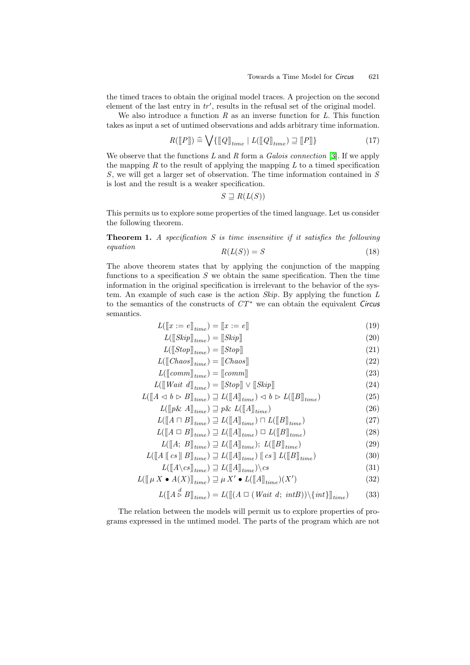the timed traces to obtain the original model traces. A projection on the second element of the last entry in  $tr'$ , results in the refusal set of the original model.

We also introduce a function  $R$  as an inverse function for  $L$ . This function takes as input a set of untimed observations and adds arbitrary time information.

$$
R(\llbracket P \rrbracket) \cong \bigvee \{ \llbracket Q \rrbracket_{time} \mid L(\llbracket Q \rrbracket_{time}) \sqsupseteq \llbracket P \rrbracket \} \tag{17}
$$

We observe that the functions  $L$  and  $R$  form a *Galois connection* [\[3\]](#page-11-0). If we apply the mapping  $R$  to the result of applying the mapping  $L$  to a timed specification S, we will get a larger set of observation. The time information contained in S is lost and the result is a weaker specification.

$$
S \supseteq R(L(S))
$$

This permits us to explore some properties of the timed language. Let us consider the following theorem.

**Theorem 1.** A specification S is time insensitive if it satisfies the following  $equation \qquad R(L(S)) = S$  (18)

The above theorem states that by applying the conjunction of the mapping functions to a specification  $S$  we obtain the same specification. Then the time information in the original specification is irrelevant to the behavior of the system. An example of such case is the action *Skip*. By applying the function  $L$ to the semantics of the constructs of  $CT^*$  we can obtain the equivalent Circus semantics.

$$
L([x := e]]_{time}) = [[x := e]] \tag{19}
$$

$$
L([[Skip]]_{time}) = [[Skip]] \tag{20}
$$

$$
L([[Stop]]_{time}) = [[Stop]] \tag{21}
$$

$$
L([[Chaos]]_{time}) = [[Chaos]] \tag{22}
$$

$$
L(\llbracket comm \rrbracket_{time}) = \llbracket comm \rrbracket \tag{23}
$$

$$
L([[Wait\ d]]_{time}) = [[Stop]] \vee [[skip]] \tag{24}
$$

$$
L([[A \triangleleft b \triangleright B]]_{time}) \sqsupseteq L([[A]]_{time}) \triangleleft b \triangleright L([[B]]_{time}) \tag{25}
$$

$$
L([[p\& A]]_{time}) \supseteq p\& L([[A]]_{time})
$$
\n(26)

$$
L([\![A \sqcap B]\!]_{time}) \sqsupseteq L([\![A]\!]_{time}) \sqcap L([\![B]\!]_{time}) \tag{27}
$$

$$
L([[A \Box B]]_{time}) \sqsupseteq L([[A]]_{time}) \sqsupseteq L([[B]]_{time}) \tag{28}
$$

$$
L([[A; B]]_{time}) \sqsupseteq L([[A]]_{time}); \ L([[B]]_{time}) \tag{29}
$$

$$
L([[A \parallel cs \parallel B]]_{time}) \sqsupseteq L([[A]]_{time}) [[cs] \parallel L([[B]]_{time}) \tag{30}
$$

$$
L([[A\setminus cs]]_{time}) \supseteq L([[A]]_{time}) \setminus cs \tag{31}
$$

$$
L([\![ \mu X \bullet A(X) ]\!]_{time}) \supseteq \mu X' \bullet L([\![ A ]\!]_{time})(X')
$$
 (32)

$$
L([[A \stackrel{d}{\triangleright} B]]_{time}) = L([[A \Box (Wait \ d; intB)) \setminus \{int\}]_{time}) \tag{33}
$$

The relation between the models will permit us to explore properties of programs expressed in the untimed model. The parts of the program which are not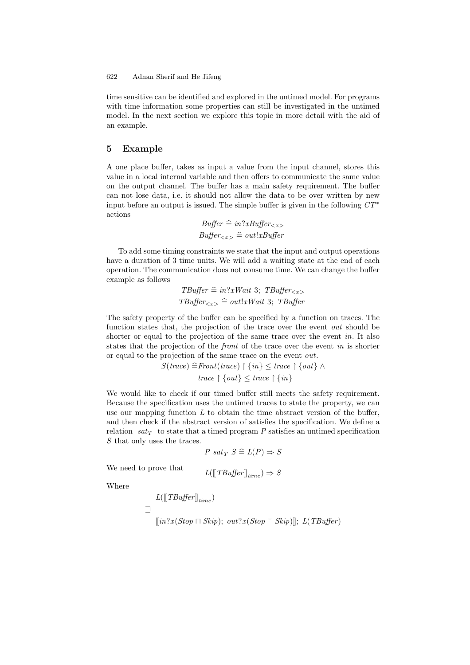time sensitive can be identified and explored in the untimed model. For programs with time information some properties can still be investigated in the untimed model. In the next section we explore this topic in more detail with the aid of an example.

# **5 Example**

A one place buffer, takes as input a value from the input channel, stores this value in a local internal variable and then offers to communicate the same value on the output channel. The buffer has a main safety requirement. The buffer can not lose data, i.e. it should not allow the data to be over written by new input before an output is issued. The simple buffer is given in the following  $CT^*$ actions

$$
Buffer \widehat{=} in?xBuffer_{< x>
$$

$$
Buffer_{< x>} \widehat{=} out!xBuffer
$$

To add some timing constraints we state that the input and output operations have a duration of 3 time units. We will add a waiting state at the end of each operation. The communication does not consume time. We can change the buffer example as follows

> $TBuffer \nightharpoonup in?xWait$  3;  $TBuffer_{> x}$  $TBuffer_{\leq r} \cong out!xWait$  3; TBuffer

The safety property of the buffer can be specified by a function on traces. The function states that, the projection of the trace over the event out should be shorter or equal to the projection of the same trace over the event in. It also states that the projection of the front of the trace over the event in is shorter or equal to the projection of the same trace on the event out.

$$
S(\text{trace}) \cong \text{Front}(\text{trace} \restriction \{in\} \leq \text{trace} \restriction \{out\} \land \text{trace} \restriction \{out\} \leq \text{trace} \restriction \{in\} \text{)}
$$

We would like to check if our timed buffer still meets the safety requirement. Because the specification uses the untimed traces to state the property, we can use our mapping function  $L$  to obtain the time abstract version of the buffer, and then check if the abstract version of satisfies the specification. We define a relation  $sat_T$  to state that a timed program P satisfies an untimed specification S that only uses the traces.

$$
P \ sat_T \ S \cong L(P) \Rightarrow S
$$

We need to prove that

$$
L([[TBuffer]]_{time}) \Rightarrow S
$$

Where

$$
\mathcal{L}([\![\mathit{TBuf}]\!]_{time})
$$
\n
$$
\mathcal{L}([\![\mathit{TBuf}]\!]_{time})
$$
\n
$$
[[in?x(\mathit{Stop} \sqcap \mathit{Skip})]; \mathit{out?x}(\mathit{Stop} \sqcap \mathit{Skip})]; \mathit{L}(\mathit{TBuffer})
$$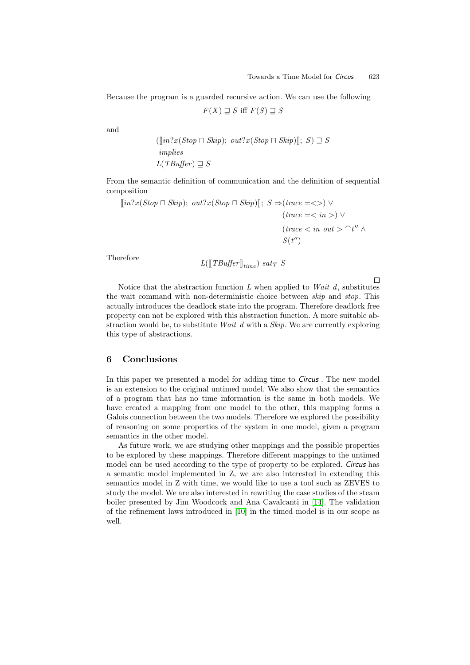$\Box$ 

Because the program is a guarded recursive action. We can use the following

$$
F(X) \sqsupseteq S \text{ iff } F(S) \sqsupseteq S
$$

and

$$
([[in?x(Stop \sqcap Skip); out?x(Stop \sqcap Skip)]]; S) \sqsupseteq S
$$
  
implies  

$$
L(TBuffer) \sqsupseteq S
$$

From the semantic definition of communication and the definition of sequential composition

$$
[in?x(Stop \sqcap Skip); out?x(Stop \sqcap Skip)]; S \Rightarrow (trace = \langle >) \vee
$$
  
\n
$$
(trace = \langle in \rangle) \vee
$$
  
\n
$$
(trace \langle in out \rangle \cap t'' \wedge S(t''))
$$

Therefore 
$$
L([\![TB\mathit{u} \mathit{ffer} ]\!]_{time})
$$
  $sat_T$  S

Notice that the abstraction function L when applied to *Wait d*, substitutes the wait command with non-deterministic choice between skip and stop. This actually introduces the deadlock state into the program. Therefore deadlock free property can not be explored with this abstraction function. A more suitable abstraction would be, to substitute *Wait d* with a  $Skip$ . We are currently exploring this type of abstractions.

### **6 Conclusions**

In this paper we presented a model for adding time to *Circus*. The new model is an extension to the original untimed model. We also show that the semantics of a program that has no time information is the same in both models. We have created a mapping from one model to the other, this mapping forms a Galois connection between the two models. Therefore we explored the possibility of reasoning on some properties of the system in one model, given a program semantics in the other model.

As future work, we are studying other mappings and the possible properties to be explored by these mappings. Therefore different mappings to the untimed model can be used according to the type of property to be explored. Circus has a semantic model implemented in Z, we are also interested in extending this semantics model in Z with time, we would like to use a tool such as ZEVES to study the model. We are also interested in rewriting the case studies of the steam boiler presented by Jim Woodcock and Ana Cavalcanti in [\[14\]](#page-11-0). The validation of the refinement laws introduced in [\[10\]](#page-11-0) in the timed model is in our scope as well.